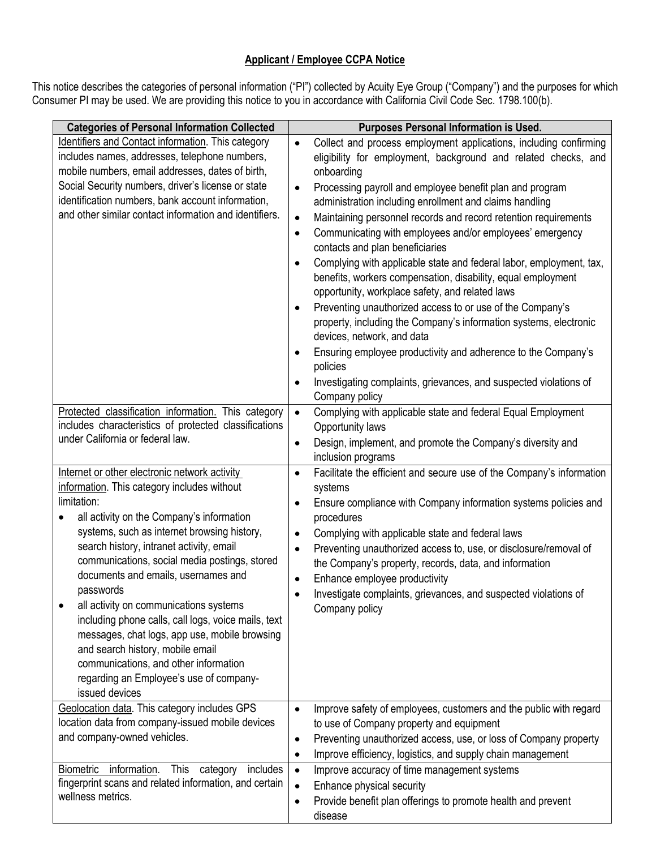## **Applicant / Employee CCPA Notice**

This notice describes the categories of personal information ("PI") collected by Acuity Eye Group ("Company") and the purposes for which Consumer PI may be used. We are providing this notice to you in accordance with California Civil Code Sec. 1798.100(b).

| <b>Categories of Personal Information Collected</b>                                                                                                                                                                                                                                                                                                                                                                                                                                                                                                                                                                                                  | <b>Purposes Personal Information is Used.</b>                                                                                                                                                                                                                                                                                                                                                                                                                                                                                                                                                                                                                                                                                                                                                                                                                                                                                                                                                                           |
|------------------------------------------------------------------------------------------------------------------------------------------------------------------------------------------------------------------------------------------------------------------------------------------------------------------------------------------------------------------------------------------------------------------------------------------------------------------------------------------------------------------------------------------------------------------------------------------------------------------------------------------------------|-------------------------------------------------------------------------------------------------------------------------------------------------------------------------------------------------------------------------------------------------------------------------------------------------------------------------------------------------------------------------------------------------------------------------------------------------------------------------------------------------------------------------------------------------------------------------------------------------------------------------------------------------------------------------------------------------------------------------------------------------------------------------------------------------------------------------------------------------------------------------------------------------------------------------------------------------------------------------------------------------------------------------|
| Identifiers and Contact information. This category<br>includes names, addresses, telephone numbers,<br>mobile numbers, email addresses, dates of birth,<br>Social Security numbers, driver's license or state<br>identification numbers, bank account information,<br>and other similar contact information and identifiers.                                                                                                                                                                                                                                                                                                                         | Collect and process employment applications, including confirming<br>$\bullet$<br>eligibility for employment, background and related checks, and<br>onboarding<br>Processing payroll and employee benefit plan and program<br>$\bullet$<br>administration including enrollment and claims handling<br>Maintaining personnel records and record retention requirements<br>$\bullet$<br>Communicating with employees and/or employees' emergency<br>$\bullet$<br>contacts and plan beneficiaries<br>Complying with applicable state and federal labor, employment, tax,<br>$\bullet$<br>benefits, workers compensation, disability, equal employment<br>opportunity, workplace safety, and related laws<br>Preventing unauthorized access to or use of the Company's<br>property, including the Company's information systems, electronic<br>devices, network, and data<br>Ensuring employee productivity and adherence to the Company's<br>policies<br>Investigating complaints, grievances, and suspected violations of |
| Protected classification information. This category<br>includes characteristics of protected classifications<br>under California or federal law.                                                                                                                                                                                                                                                                                                                                                                                                                                                                                                     | Company policy<br>Complying with applicable state and federal Equal Employment<br>$\bullet$<br>Opportunity laws<br>Design, implement, and promote the Company's diversity and<br>$\bullet$<br>inclusion programs                                                                                                                                                                                                                                                                                                                                                                                                                                                                                                                                                                                                                                                                                                                                                                                                        |
| Internet or other electronic network activity<br>information. This category includes without<br>limitation:<br>all activity on the Company's information<br>systems, such as internet browsing history,<br>search history, intranet activity, email<br>communications, social media postings, stored<br>documents and emails, usernames and<br>passwords<br>all activity on communications systems<br>including phone calls, call logs, voice mails, text<br>messages, chat logs, app use, mobile browsing<br>and search history, mobile email<br>communications, and other information<br>regarding an Employee's use of company-<br>issued devices | Facilitate the efficient and secure use of the Company's information<br>$\bullet$<br>systems<br>Ensure compliance with Company information systems policies and<br>procedures<br>Complying with applicable state and federal laws<br>$\bullet$<br>Preventing unauthorized access to, use, or disclosure/removal of<br>$\bullet$<br>the Company's property, records, data, and information<br>Enhance employee productivity<br>$\bullet$<br>Investigate complaints, grievances, and suspected violations of<br>Company policy                                                                                                                                                                                                                                                                                                                                                                                                                                                                                            |
| Geolocation data. This category includes GPS<br>location data from company-issued mobile devices<br>and company-owned vehicles.                                                                                                                                                                                                                                                                                                                                                                                                                                                                                                                      | Improve safety of employees, customers and the public with regard<br>$\bullet$<br>to use of Company property and equipment<br>Preventing unauthorized access, use, or loss of Company property<br>$\bullet$<br>Improve efficiency, logistics, and supply chain management<br>$\bullet$                                                                                                                                                                                                                                                                                                                                                                                                                                                                                                                                                                                                                                                                                                                                  |
| Biometric information.<br>This category<br>includes<br>fingerprint scans and related information, and certain<br>wellness metrics.                                                                                                                                                                                                                                                                                                                                                                                                                                                                                                                   | Improve accuracy of time management systems<br>$\bullet$<br>Enhance physical security<br>$\bullet$<br>Provide benefit plan offerings to promote health and prevent<br>$\bullet$<br>disease                                                                                                                                                                                                                                                                                                                                                                                                                                                                                                                                                                                                                                                                                                                                                                                                                              |